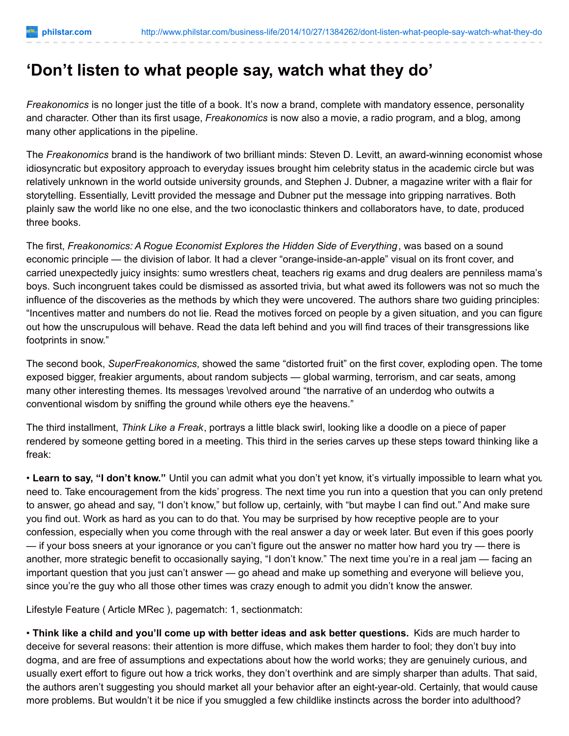## **'Don't listen to what people say, watch what they do'**

*Freakonomics* is no longer just the title of a book. It's now a brand, complete with mandatory essence, personality and character. Other than its first usage, *Freakonomics* is now also a movie, a radio program, and a blog, among many other applications in the pipeline.

The *Freakonomics* brand is the handiwork of two brilliant minds: Steven D. Levitt, an award-winning economist whose idiosyncratic but expository approach to everyday issues brought him celebrity status in the academic circle but was relatively unknown in the world outside university grounds, and Stephen J. Dubner, a magazine writer with a flair for storytelling. Essentially, Levitt provided the message and Dubner put the message into gripping narratives. Both plainly saw the world like no one else, and the two iconoclastic thinkers and collaborators have, to date, produced three books.

The first, *Freakonomics: A Rogue Economist Explores the Hidden Side of Everything*, was based on a sound economic principle — the division of labor. It had a clever "orange-inside-an-apple" visual on its front cover, and carried unexpectedly juicy insights: sumo wrestlers cheat, teachers rig exams and drug dealers are penniless mama's boys. Such incongruent takes could be dismissed as assorted trivia, but what awed its followers was not so much the influence of the discoveries as the methods by which they were uncovered. The authors share two guiding principles: "Incentives matter and numbers do not lie. Read the motives forced on people by a given situation, and you can figure out how the unscrupulous will behave. Read the data left behind and you will find traces of their transgressions like footprints in snow."

The second book, *SuperFreakonomics*, showed the same "distorted fruit" on the first cover, exploding open. The tome exposed bigger, freakier arguments, about random subjects — global warming, terrorism, and car seats, among many other interesting themes. Its messages \revolved around "the narrative of an underdog who outwits a conventional wisdom by sniffing the ground while others eye the heavens."

The third installment, *Think Like a Freak*, portrays a little black swirl, looking like a doodle on a piece of paper rendered by someone getting bored in a meeting. This third in the series carves up these steps toward thinking like a freak:

• **Learn to say, "I don't know."** Until you can admit what you don't yet know, it's virtually impossible to learn what you need to. Take encouragement from the kids' progress. The next time you run into a question that you can only pretend to answer, go ahead and say, "I don't know," but follow up, certainly, with "but maybe I can find out." And make sure you find out. Work as hard as you can to do that. You may be surprised by how receptive people are to your confession, especially when you come through with the real answer a day or week later. But even if this goes poorly — if your boss sneers at your ignorance or you can't figure out the answer no matter how hard you try — there is another, more strategic benefit to occasionally saying, "I don't know." The next time you're in a real jam — facing an important question that you just can't answer — go ahead and make up something and everyone will believe you, since you're the guy who all those other times was crazy enough to admit you didn't know the answer.

Lifestyle Feature ( Article MRec ), pagematch: 1, sectionmatch:

• **Think like a child and you'll come up with better ideas and ask better questions.** Kids are much harder to deceive for several reasons: their attention is more diffuse, which makes them harder to fool; they don't buy into dogma, and are free of assumptions and expectations about how the world works; they are genuinely curious, and usually exert effort to figure out how a trick works, they don't overthink and are simply sharper than adults. That said, the authors aren't suggesting you should market all your behavior after an eight-year-old. Certainly, that would cause more problems. But wouldn't it be nice if you smuggled a few childlike instincts across the border into adulthood?